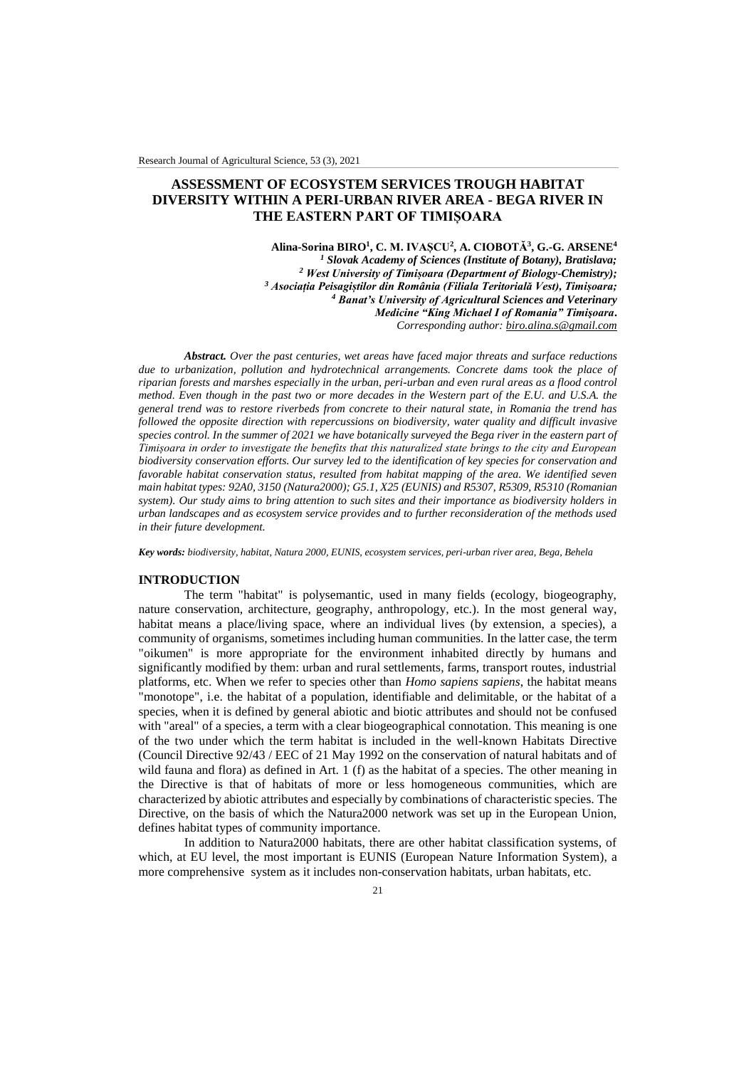# **ASSESSMENT OF ECOSYSTEM SERVICES TROUGH HABITAT DIVERSITY WITHIN A PERI-URBAN RIVER AREA - BEGA RIVER IN THE EASTERN PART OF TIMIȘOARA**

**Alina-Sorina BIRO<sup>1</sup> , C. M. IVAȘCU<sup>2</sup> , A. CIOBOTĂ<sup>3</sup> , G.-G. ARSENE<sup>4</sup>** *<sup>1</sup> Slovak Academy of Sciences (Institute of Botany), Bratislava; <sup>2</sup> West University of Timișoara (Department of Biology-Chemistry); <sup>3</sup> Asociația Peisagiștilor din România (Filiala Teritorială Vest), Timișoara; <sup>4</sup> Banat's University of Agricultural Sciences and Veterinary Medicine "King Michael I of Romania" Timişoara***.**  *Corresponding author: [biro.alina.s@gmail.com](mailto:biro.alina.s@gmail.com)*

*Abstract. Over the past centuries, wet areas have faced major threats and surface reductions due to urbanization, pollution and hydrotechnical arrangements. Concrete dams took the place of riparian forests and marshes especially in the urban, peri-urban and even rural areas as a flood control method. Even though in the past two or more decades in the Western part of the E.U. and U.S.A. the general trend was to restore riverbeds from concrete to their natural state, in Romania the trend has followed the opposite direction with repercussions on biodiversity, water quality and difficult invasive species control. In the summer of 2021 we have botanically surveyed the Bega river in the eastern part of Timișoara in order to investigate the benefits that this naturalized state brings to the city and European biodiversity conservation efforts. Our survey led to the identification of key species for conservation and favorable habitat conservation status, resulted from habitat mapping of the area. We identified seven main habitat types: 92A0, 3150 (Natura2000); G5.1, X25 (EUNIS) and R5307, R5309, R5310 (Romanian system). Our study aims to bring attention to such sites and their importance as biodiversity holders in urban landscapes and as ecosystem service provides and to further reconsideration of the methods used in their future development.*

*Key words: biodiversity, habitat, Natura 2000, EUNIS, ecosystem services, peri-urban river area, Bega, Behela*

### **INTRODUCTION**

The term "habitat" is polysemantic, used in many fields (ecology, biogeography, nature conservation, architecture, geography, anthropology, etc.). In the most general way, habitat means a place/living space, where an individual lives (by extension, a species), a community of organisms, sometimes including human communities. In the latter case, the term "oikumen" is more appropriate for the environment inhabited directly by humans and significantly modified by them: urban and rural settlements, farms, transport routes, industrial platforms, etc. When we refer to species other than *Homo sapiens sapiens*, the habitat means "monotope", i.e. the habitat of a population, identifiable and delimitable, or the habitat of a species, when it is defined by general abiotic and biotic attributes and should not be confused with "areal" of a species, a term with a clear biogeographical connotation. This meaning is one of the two under which the term habitat is included in the well-known Habitats Directive (Council Directive 92/43 / EEC of 21 May 1992 on the conservation of natural habitats and of wild fauna and flora) as defined in Art. 1 (f) as the habitat of a species. The other meaning in the Directive is that of habitats of more or less homogeneous communities, which are characterized by abiotic attributes and especially by combinations of characteristic species. The Directive, on the basis of which the Natura2000 network was set up in the European Union, defines habitat types of community importance.

In addition to Natura2000 habitats, there are other habitat classification systems, of which, at EU level, the most important is EUNIS (European Nature Information System), a more comprehensive system as it includes non-conservation habitats, urban habitats, etc.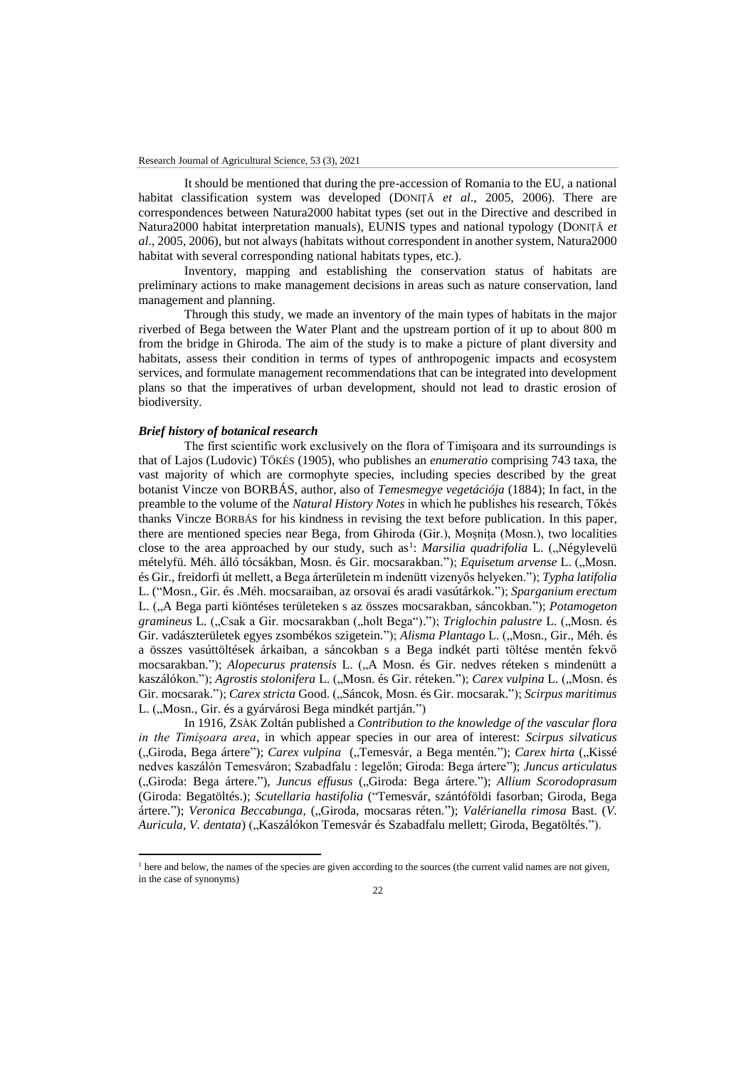It should be mentioned that during the pre-accession of Romania to the EU, a national habitat classification system was developed (DONIȚĂ *et al*., 2005, 2006). There are correspondences between Natura2000 habitat types (set out in the Directive and described in Natura2000 habitat interpretation manuals), EUNIS types and national typology (DONIȚĂ *et al*., 2005, 2006), but not always (habitats without correspondent in another system, Natura2000 habitat with several corresponding national habitats types, etc.).

Inventory, mapping and establishing the conservation status of habitats are preliminary actions to make management decisions in areas such as nature conservation, land management and planning.

Through this study, we made an inventory of the main types of habitats in the major riverbed of Bega between the Water Plant and the upstream portion of it up to about 800 m from the bridge in Ghiroda. The aim of the study is to make a picture of plant diversity and habitats, assess their condition in terms of types of anthropogenic impacts and ecosystem services, and formulate management recommendations that can be integrated into development plans so that the imperatives of urban development, should not lead to drastic erosion of biodiversity.

### *Brief history of botanical research*

 $\overline{a}$ 

The first scientific work exclusively on the flora of Timișoara and its surroundings is that of Lajos (Ludovic) TŐKÉS (1905), who publishes an *enumeratio* comprising 743 taxa, the vast majority of which are cormophyte species, including species described by the great botanist Vincze von BORBÁS, author, also of *Temesmegye vegetációja* (1884); In fact, in the preamble to the volume of the *Natural History Notes* in which he publishes his research, Tőkés thanks Vincze BORBÁS for his kindness in revising the text before publication. In this paper, there are mentioned species near Bega, from Ghiroda (Gir.), Moșnița (Mosn.), two localities close to the area approached by our study, such as<sup>1</sup>: *Marsilia quadrifolia* L. ("Négylevelü mételyfü. Méh. álló tócsákban, Mosn. és Gir. mocsarakban."); *Equisetum arvense* L. ("Mosn. és Gir., freidorfi út mellett, a Bega árterületein m indenütt vizenyős helyeken."); *Typha latifolia* L. ("Mosn., Gir. és .Méh. mocsaraiban, az orsovai és aradi vasútárkok."); *Sparganium erectum* L. ("A Bega parti kiöntéses területeken s az összes mocsarakban, sáncokban."); *Potamogeton gramineus* L. ("Csak a Gir. mocsarakban ("holt Bega")."); *Triglochin palustre* L. ("Mosn. és Gir. vadászterületek egyes zsombékos szigetein."); *Alisma Plantago* L. ("Mosn., Gir., Méh. és a összes vasúttöltések árkaiban, a sáncokban s a Bega indkét parti töltése mentén fekvő mocsarakban."); *Alopecurus pratensis* L. ("A Mosn. és Gir. nedves réteken s mindenütt a kaszálókon."); *Agrostis stolonifera* L. ("Mosn. és Gir. réteken."); *Carex vulpina* L. ("Mosn. és Gir. mocsarak."); *Carex stricta* Good. ("Sáncok, Mosn. és Gir. mocsarak."); *Scirpus maritimus* L. ("Mosn., Gir. és a gyárvárosi Bega mindkét partján.")

In 1916, ZSÀK Zoltán published a *Contribution to the knowledge of the vascular flora in the Timișoara area*, in which appear species in our area of interest: *Scirpus silvaticus* ("Giroda, Bega ártere"); *Carex vulpina* ("Temesvár, a Bega mentén."); *Carex hirta* ("Kissé nedves kaszálón Temesváron; Szabadfalu : legelőn; Giroda: Bega ártere"); *Juncus articulatus* ("Giroda: Bega ártere."), *Juncus effusus* ("Giroda: Bega ártere."); *Allium Scorodoprasum* (Giroda: Begatöltés.); *Scutellaria hastifolia* ("Temesvár, szántóföldi fasorban; Giroda, Bega ártere."); *Veronica Beccabunga*, ("Giroda, mocsaras réten."); *Valérianella rimosa* Bast. (V. *Auricula, V. dentata*) ("Kaszálókon Temesvár és Szabadfalu mellett; Giroda, Begatöltés.").

<sup>&</sup>lt;sup>1</sup> here and below, the names of the species are given according to the sources (the current valid names are not given, in the case of synonyms)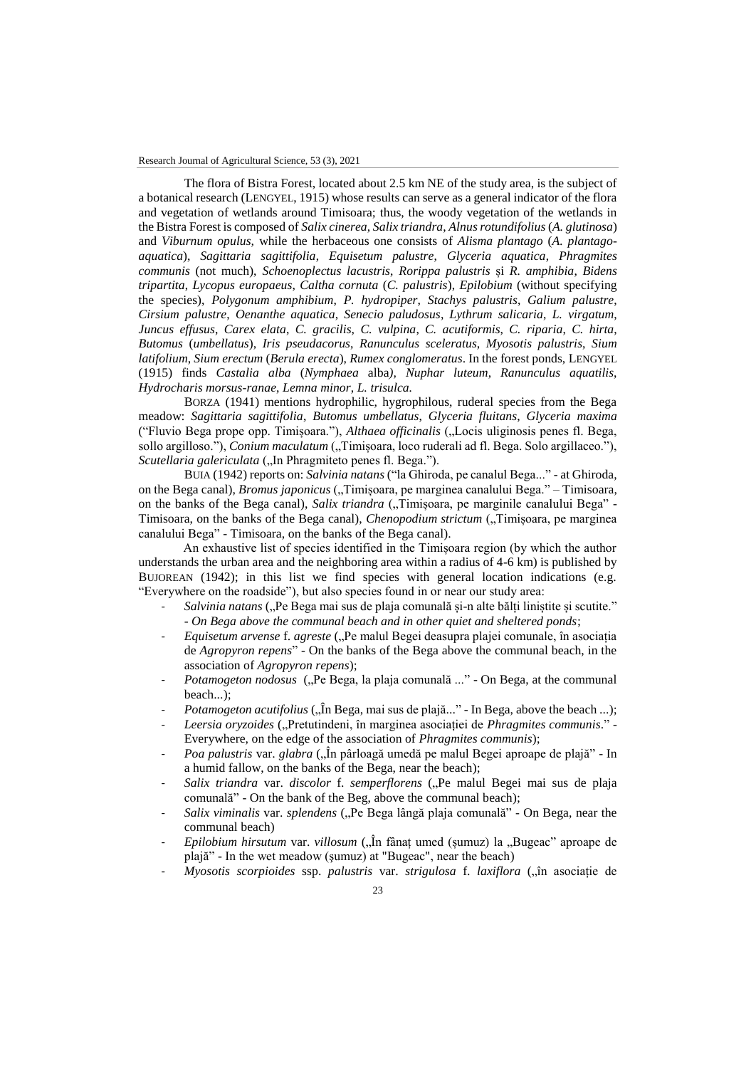The flora of Bistra Forest, located about 2.5 km NE of the study area, is the subject of a botanical research (LENGYEL, 1915) whose results can serve as a general indicator of the flora and vegetation of wetlands around Timisoara; thus, the woody vegetation of the wetlands in the Bistra Forest is composed of *Salix cinerea*, *Salix triandra*, *Alnus rotundifolius* (*A. glutinosa*) and *Viburnum opulus,* while the herbaceous one consists of *Alisma plantago* (*A. plantagoaquatica*), *Sagittaria sagittifolia*, *Equisetum palustre*, *Glyceria aquatica*, *Phragmites communis* (not much), *Schoenoplectus lacustris*, *Rorippa palustris* și *R. amphibia*, *Bidens tripartita*, *Lycopus europaeus*, *Caltha cornuta* (*C. palustris*), *Epilobium* (without specifying the species), *Polygonum amphibium*, *P. hydropiper*, *Stachys palustris*, *Galium palustre*, *Cirsium palustre*, *Oenanthe aquatica*, *Senecio paludosus*, *Lythrum salicaria*, *L. virgatum*, *Juncus effusus*, *Carex elata*, *C. gracilis*, *C. vulpina*, *C. acutiformis*, *C. riparia*, *C. hirta*, *Butomus* (*umbellatus*), *Iris pseudacorus*, *Ranunculus sceleratus*, *Myosotis palustris*, *Sium latifolium*, *Sium erectum* (*Berula erecta*), *Rumex conglomeratus*. In the forest ponds, LENGYEL (1915) finds *Castalia alba* (*Nymphaea* alba*), Nuphar luteum*, *Ranunculus aquatilis*, *Hydrocharis morsus-ranae*, *Lemna minor*, *L. trisulca.*

BORZA (1941) mentions hydrophilic, hygrophilous, ruderal species from the Bega meadow: *Sagittaria sagittifolia*, *Butomus umbellatus*, *Glyceria fluitans*, *Glyceria maxima* ("Fluvio Bega prope opp. Timișoara."), *Althaea officinalis* ("Locis uliginosis penes fl. Bega, sollo argilloso."), *Conium maculatum* ("Timișoara, loco ruderali ad fl. Bega. Solo argillaceo."), *Scutellaria galericulata* ("In Phragmiteto penes fl. Bega.").

BUIA (1942) reports on: *Salvinia natans* ("la Ghiroda, pe canalul Bega..." - at Ghiroda, on the Bega canal), *Bromus japonicus* ("Timișoara, pe marginea canalului Bega." – Timișoara, on the banks of the Bega canal), *Salix triandra* ("Timișoara, pe marginile canalului Bega" -Timisoara, on the banks of the Bega canal), *Chenopodium strictum* ("Timișoara, pe marginea canalului Bega" - Timisoara, on the banks of the Bega canal).

An exhaustive list of species identified in the Timișoara region (by which the author understands the urban area and the neighboring area within a radius of 4-6 km) is published by BUJOREAN (1942); in this list we find species with general location indications (e.g. "Everywhere on the roadside"), but also species found in or near our study area:

- Salvinia natans ("Pe Bega mai sus de plaja comunală și-n alte bălți liniștite și scutite." - *On Bega above the communal beach and in other quiet and sheltered ponds*;
- *Equisetum arvense* f. *agreste* ("Pe malul Begei deasupra plajei comunale, în asociația de *Agropyron repens*" - On the banks of the Bega above the communal beach, in the association of *Agropyron repens*);
- *Potamogeton nodosus* ("Pe Bega, la plaja comunală ..." On Bega, at the communal beach...);
- *Potamogeton acutifolius* ("În Bega, mai sus de plajă..." In Bega, above the beach ...);
- *Leersia oryzoides* ("Pretutindeni, în marginea asociației de *Phragmites communis*." Everywhere, on the edge of the association of *Phragmites communis*);
- *Poa palustris* var. *glabra* ("În pârloagă umedă pe malul Begei aproape de plajă" In a humid fallow, on the banks of the Bega, near the beach);
- Salix triandra var. *discolor* f. *semperflorens* ("Pe malul Begei mai sus de plaja comunală" - On the bank of the Beg, above the communal beach);
- *Salix viminalis* var. *splendens* ("Pe Bega lângă plaja comunală" On Bega, near the communal beach)
- *Epilobium hirsutum var. villosum* ("În fânaț umed (șumuz) la "Bugeac" aproape de plajă" - In the wet meadow (şumuz) at "Bugeac", near the beach)
- *Myosotis scorpioides* ssp. *palustris* var. *strigulosa* f. *laxiflora* ("în asociație de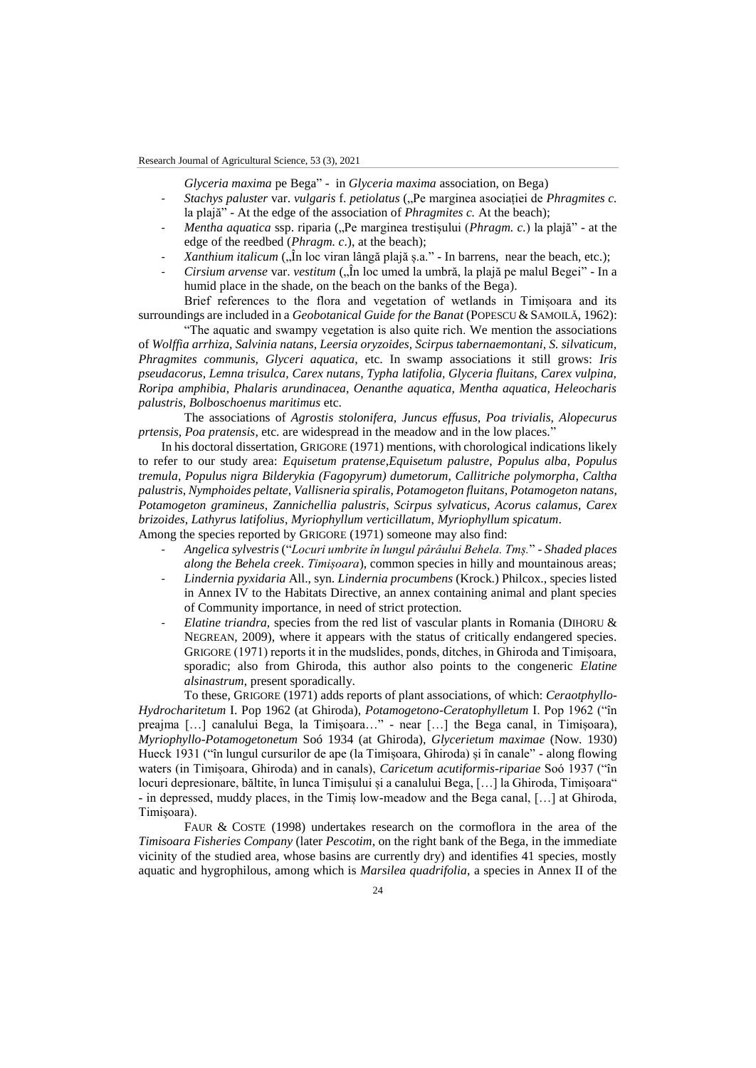Research Journal of Agricultural Science, 53 (3), 2021

*Glyceria maxima* pe Bega" - in *Glyceria maxima* association, on Bega)

- *Stachys paluster* var. *vulgaris* f. *petiolatus* ("Pe marginea asociației de *Phragmites c.* la plajă" - At the edge of the association of *Phragmites c.* At the beach);
- *Mentha aquatica* ssp. riparia ("Pe marginea trestișului (*Phragm. c.*) la plajă" at the edge of the reedbed (*Phragm. c*.), at the beach);
- Xanthium italicum ("În loc viran lângă plajă ș.a." In barrens, near the beach, etc.);
- *Cirsium arvense* var. *vestitum* ("În loc umed la umbră, la plajă pe malul Begei" In a humid place in the shade, on the beach on the banks of the Bega).

Brief references to the flora and vegetation of wetlands in Timișoara and its surroundings are included in a *Geobotanical Guide for the Banat* (POPESCU & SAMOILĂ, 1962):

"The aquatic and swampy vegetation is also quite rich. We mention the associations of *Wolffia arrhiza, Salvinia natans, Leersia oryzoides, Scirpus tabernaemontani, S. silvaticum, Phragmites communis, Glyceri aquatica,* etc. In swamp associations it still grows: *Iris pseudacorus, Lemna trisulca, Carex nutans, Typha latifolia, Glyceria fluitans, Carex vulpina, Roripa amphibia, Phalaris arundinacea, Oenanthe aquatica, Mentha aquatica, Heleocharis palustris, Bolboschoenus maritimus* etc.

The associations of *Agrostis stolonifera, Juncus effusus, Poa trivialis, Alopecurus prtensis, Poa pratensis*, etc. are widespread in the meadow and in the low places."

In his doctoral dissertation, GRIGORE (1971) mentions, with chorological indications likely to refer to our study area: *Equisetum pratense*,*Equisetum palustre*, *Populus alba*, *Populus tremula*, *Populus nigra Bilderykia (Fagopyrum) dumetorum*, *Callitriche polymorpha*, *Caltha palustris*, *Nymphoides peltate*, *Vallisneria spiralis*, *Potamogeton fluitans*, *Potamogeton natans*, *Potamogeton gramineus*, *Zannichellia palustris*, *Scirpus sylvaticus*, *Acorus calamus*, *Carex brizoides*, *Lathyrus latifolius*, *Myriophyllum verticillatum*, *Myriophyllum spicatum*.

Among the species reported by GRIGORE (1971) someone may also find:

- *Angelica sylvestris* ("*Locuri umbrite în lungul pârâului Behela. Tmș.*" *Shaded places along the Behela creek*. *Timișoara*), common species in hilly and mountainous areas;
- *Lindernia pyxidaria* All., syn. *Lindernia procumbens* (Krock.) Philcox., species listed in Annex IV to the Habitats Directive, an annex containing animal and plant species of Community importance, in need of strict protection.
- *Elatine triandra,* species from the red list of vascular plants in Romania (DIHORU & NEGREAN, 2009), where it appears with the status of critically endangered species. GRIGORE (1971) reports it in the mudslides, ponds, ditches, in Ghiroda and Timișoara, sporadic; also from Ghiroda, this author also points to the congeneric *Elatine alsinastrum*, present sporadically.

To these, GRIGORE (1971) adds reports of plant associations, of which: *Ceraotphyllo-Hydrocharitetum* I. Pop 1962 (at Ghiroda), *Potamogetono-Ceratophylletum* I. Pop 1962 ("în preajma […] canalului Bega, la Timișoara…" - near […] the Bega canal, in Timișoara), *Myriophyllo-Potamogetonetum* Soó 1934 (at Ghiroda), *Glycerietum maximae* (Now. 1930) Hueck 1931 ("în lungul cursurilor de ape (la Timișoara, Ghiroda) și în canale" - along flowing waters (in Timișoara, Ghiroda) and in canals), *Caricetum acutiformis-ripariae* Soó 1937 ("în locuri depresionare, băltite, în lunca Timișului și a canalului Bega, [...] la Ghiroda, Timișoara" - in depressed, muddy places, in the Timiș low-meadow and the Bega canal, […] at Ghiroda, Timișoara).

FAUR & COSTE (1998) undertakes research on the cormoflora in the area of the *Timisoara Fisheries Company* (later *Pescotim*, on the right bank of the Bega, in the immediate vicinity of the studied area, whose basins are currently dry) and identifies 41 species, mostly aquatic and hygrophilous, among which is *Marsilea quadrifolia*, a species in Annex II of the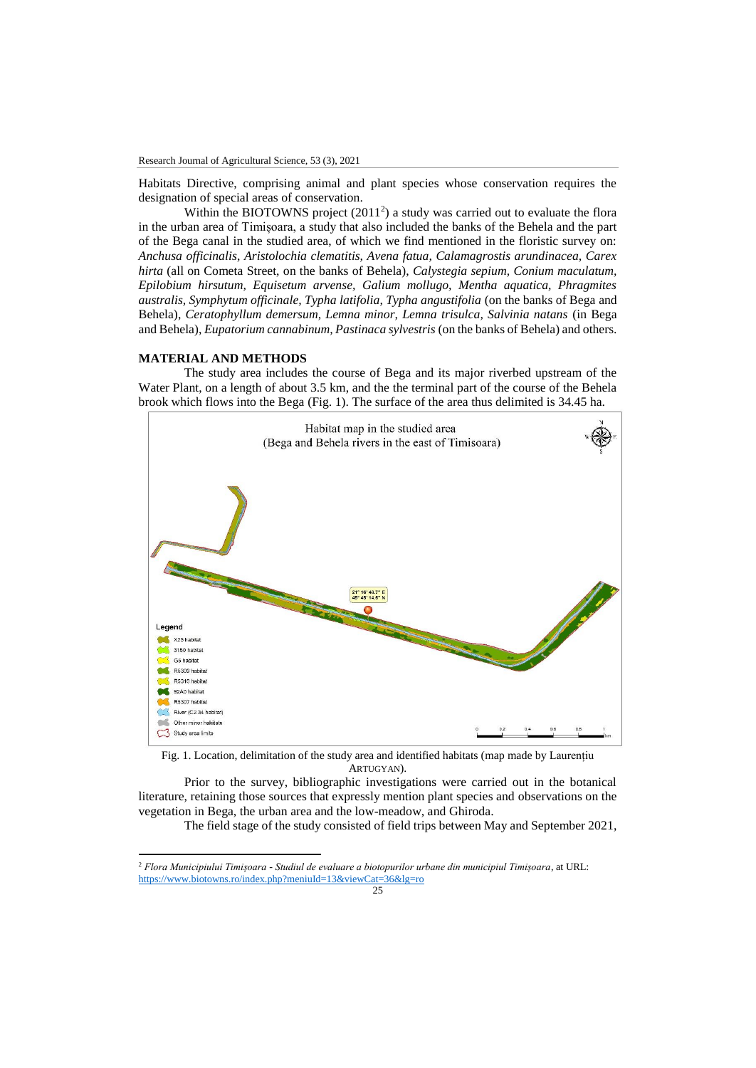Habitats Directive, comprising animal and plant species whose conservation requires the designation of special areas of conservation.

Within the BIOTOWNS project (2011<sup>2</sup>) a study was carried out to evaluate the flora in the urban area of Timișoara, a study that also included the banks of the Behela and the part of the Bega canal in the studied area, of which we find mentioned in the floristic survey on: *Anchusa officinalis*, *Aristolochia clematitis, Avena fatua, Calamagrostis arundinacea, Carex hirta* (all on Cometa Street, on the banks of Behela), *Calystegia sepium, Conium maculatum, Epilobium hirsutum, Equisetum arvense, Galium mollugo, Mentha aquatica, Phragmites australis, Symphytum officinale, Typha latifolia, Typha angustifolia* (on the banks of Bega and Behela), *Ceratophyllum demersum, Lemna minor, Lemna trisulca, Salvinia natans* (in Bega and Behela), *Eupatorium cannabinum, Pastinaca sylvestris* (on the banks of Behela) and others.

### **MATERIAL AND METHODS**

 $\overline{a}$ 

The study area includes the course of Bega and its major riverbed upstream of the Water Plant, on a length of about 3.5 km, and the the terminal part of the course of the Behela brook which flows into the Bega (Fig. 1). The surface of the area thus delimited is 34.45 ha.



Fig. 1. Location, delimitation of the study area and identified habitats (map made by Laurențiu ARTUGYAN).

Prior to the survey, bibliographic investigations were carried out in the botanical literature, retaining those sources that expressly mention plant species and observations on the vegetation in Bega, the urban area and the low-meadow, and Ghiroda.

The field stage of the study consisted of field trips between May and September 2021,

<sup>2</sup> *Flora Municipiului Timișoara - Studiul de evaluare a biotopurilor urbane din municipiul Timișoara*, at URL: <https://www.biotowns.ro/index.php?meniuId=13&viewCat=36&lg=ro>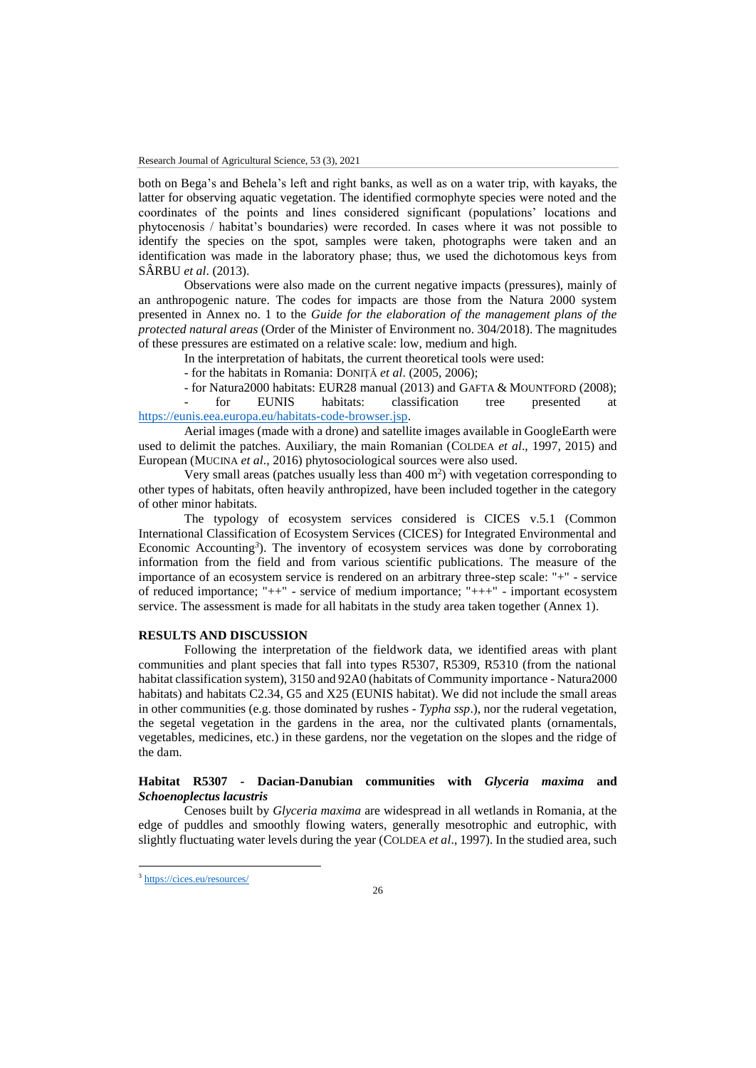both on Bega's and Behela's left and right banks, as well as on a water trip, with kayaks, the latter for observing aquatic vegetation. The identified cormophyte species were noted and the coordinates of the points and lines considered significant (populations' locations and phytocenosis / habitat's boundaries) were recorded. In cases where it was not possible to identify the species on the spot, samples were taken, photographs were taken and an identification was made in the laboratory phase; thus, we used the dichotomous keys from SÂRBU *et al*. (2013).

Observations were also made on the current negative impacts (pressures), mainly of an anthropogenic nature. The codes for impacts are those from the Natura 2000 system presented in Annex no. 1 to the *Guide for the elaboration of the management plans of the protected natural areas* (Order of the Minister of Environment no. 304/2018). The magnitudes of these pressures are estimated on a relative scale: low, medium and high.

In the interpretation of habitats, the current theoretical tools were used:

- for the habitats in Romania: DONIȚĂ *et al*. (2005, 2006);

- for Natura2000 habitats: EUR28 manual (2013) and GAFTA & MOUNTFORD (2008);

- for EUNIS habitats: classification tree presented at [https://eunis.eea.europa.eu/habitats-code-browser.jsp.](https://eunis.eea.europa.eu/habitats-code-browser.jsp) 

Aerial images (made with a drone) and satellite images available in GoogleEarth were used to delimit the patches. Auxiliary, the main Romanian (COLDEA *et al*., 1997, 2015) and European (MUCINA *et al*., 2016) phytosociological sources were also used.

Very small areas (patches usually less than  $400 \text{ m}^2$ ) with vegetation corresponding to other types of habitats, often heavily anthropized, have been included together in the category of other minor habitats.

The typology of ecosystem services considered is CICES v.5.1 (Common International Classification of Ecosystem Services (CICES) for Integrated Environmental and Economic Accounting*<sup>3</sup>* ). The inventory of ecosystem services was done by corroborating information from the field and from various scientific publications. The measure of the importance of an ecosystem service is rendered on an arbitrary three-step scale: "+" - service of reduced importance; "++" - service of medium importance; "+++" - important ecosystem service. The assessment is made for all habitats in the study area taken together (Annex 1).

#### **RESULTS AND DISCUSSION**

Following the interpretation of the fieldwork data, we identified areas with plant communities and plant species that fall into types R5307, R5309, R5310 (from the national habitat classification system), 3150 and 92A0 (habitats of Community importance - Natura2000 habitats) and habitats C2.34, G5 and X25 (EUNIS habitat). We did not include the small areas in other communities (e.g. those dominated by rushes - *Typha ssp*.), nor the ruderal vegetation, the segetal vegetation in the gardens in the area, nor the cultivated plants (ornamentals, vegetables, medicines, etc.) in these gardens, nor the vegetation on the slopes and the ridge of the dam.

### **Habitat R5307 - Dacian-Danubian communities with** *Glyceria maxima* **and**  *Schoenoplectus lacustris*

Cenoses built by *Glyceria maxima* are widespread in all wetlands in Romania, at the edge of puddles and smoothly flowing waters, generally mesotrophic and eutrophic, with slightly fluctuating water levels during the year (COLDEA *et al*., 1997). In the studied area, such

 $\overline{\phantom{a}}$ 

<sup>3</sup> <https://cices.eu/resources/>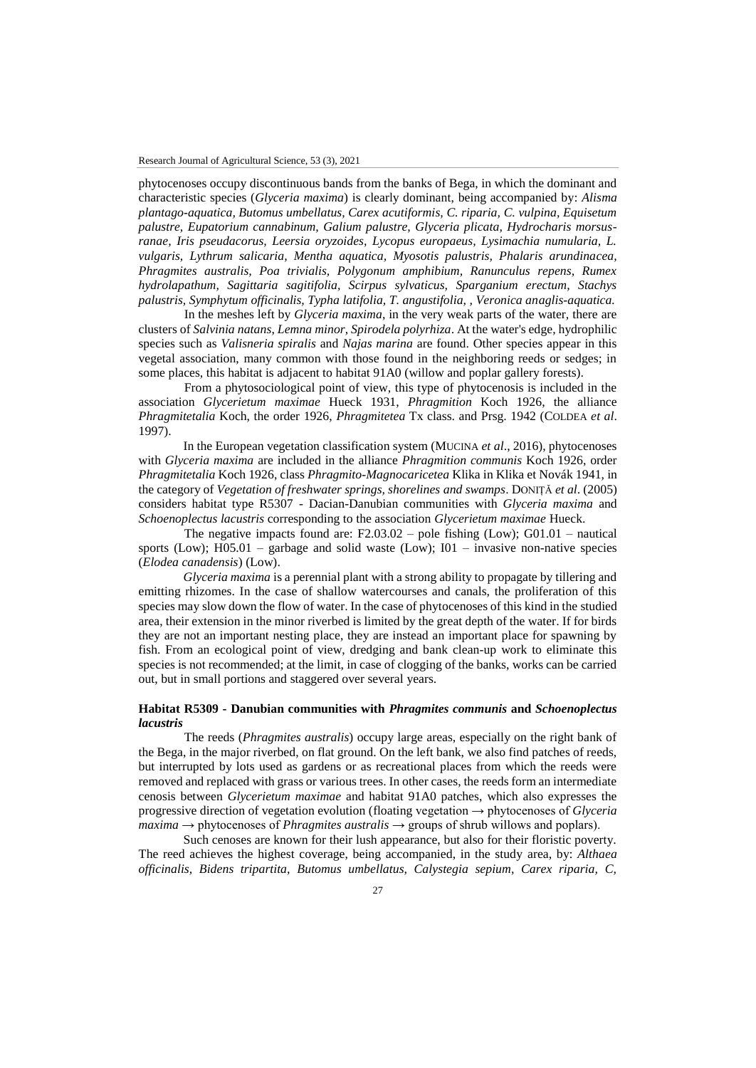phytocenoses occupy discontinuous bands from the banks of Bega, in which the dominant and characteristic species (*Glyceria maxima*) is clearly dominant, being accompanied by: *Alisma plantago-aquatica, Butomus umbellatus, Carex acutiformis, C. riparia, C. vulpina, Equisetum palustre, Eupatorium cannabinum, Galium palustre, Glyceria plicata, Hydrocharis morsusranae, Iris pseudacorus, Leersia oryzoides, Lycopus europaeus, Lysimachia numularia, L. vulgaris, Lythrum salicaria, Mentha aquatica, Myosotis palustris, Phalaris arundinacea, Phragmites australis, Poa trivialis, Polygonum amphibium, Ranunculus repens, Rumex hydrolapathum, Sagittaria sagitifolia, Scirpus sylvaticus, Sparganium erectum, Stachys palustris, Symphytum officinalis, Typha latifolia, T. angustifolia, , Veronica anaglis-aquatica.*

In the meshes left by *Glyceria maxima*, in the very weak parts of the water, there are clusters of *Salvinia natans*, *Lemna minor*, *Spirodela polyrhiza*. At the water's edge, hydrophilic species such as *Valisneria spiralis* and *Najas marina* are found. Other species appear in this vegetal association, many common with those found in the neighboring reeds or sedges; in some places, this habitat is adjacent to habitat 91A0 (willow and poplar gallery forests).

From a phytosociological point of view, this type of phytocenosis is included in the association *Glycerietum maximae* Hueck 1931, *Phragmition* Koch 1926, the alliance *Phragmitetalia* Koch, the order 1926, *Phragmitetea* Tx class. and Prsg. 1942 (COLDEA *et al*. 1997).

In the European vegetation classification system (MUCINA *et al*., 2016), phytocenoses with *Glyceria maxima* are included in the alliance *Phragmition communis* Koch 1926, order *Phragmitetalia* Koch 1926, class *Phragmito-Magnocaricetea* Klika in Klika et Novák 1941, in the category of *Vegetation of freshwater springs, shorelines and swamps*. DONIȚĂ *et al*. (2005) considers habitat type R5307 - Dacian-Danubian communities with *Glyceria maxima* and *Schoenoplectus lacustris* corresponding to the association *Glycerietum maximae* Hueck.

The negative impacts found are:  $F2.03.02$  – pole fishing (Low); G01.01 – nautical sports (Low);  $H05.01$  – garbage and solid waste (Low);  $I01$  – invasive non-native species (*Elodea canadensis*) (Low).

*Glyceria maxima* is a perennial plant with a strong ability to propagate by tillering and emitting rhizomes. In the case of shallow watercourses and canals, the proliferation of this species may slow down the flow of water. In the case of phytocenoses of this kind in the studied area, their extension in the minor riverbed is limited by the great depth of the water. If for birds they are not an important nesting place, they are instead an important place for spawning by fish. From an ecological point of view, dredging and bank clean-up work to eliminate this species is not recommended; at the limit, in case of clogging of the banks, works can be carried out, but in small portions and staggered over several years.

### **Habitat R5309 - Danubian communities with** *Phragmites communis* **and** *Schoenoplectus lacustris*

The reeds (*Phragmites australis*) occupy large areas, especially on the right bank of the Bega, in the major riverbed, on flat ground. On the left bank, we also find patches of reeds, but interrupted by lots used as gardens or as recreational places from which the reeds were removed and replaced with grass or various trees. In other cases, the reeds form an intermediate cenosis between *Glycerietum maximae* and habitat 91A0 patches, which also expresses the progressive direction of vegetation evolution (floating vegetation → phytocenoses of *Glyceria maxima* → phytocenoses of *Phragmites australis* → groups of shrub willows and poplars).

Such cenoses are known for their lush appearance, but also for their floristic poverty. The reed achieves the highest coverage, being accompanied, in the study area, by: *Althaea officinalis, Bidens tripartita, Butomus umbellatus, Calystegia sepium, Carex riparia, C,*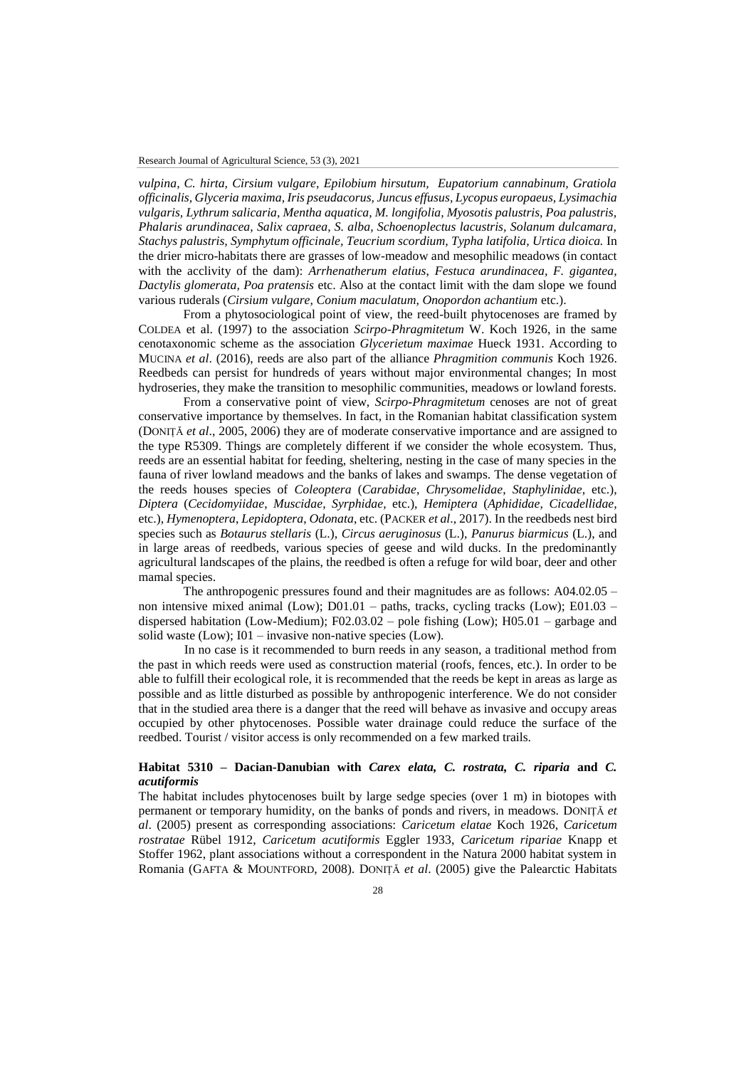*vulpina, C. hirta, Cirsium vulgare, Epilobium hirsutum, Eupatorium cannabinum, Gratiola officinalis, Glyceria maxima, Iris pseudacorus, Juncus effusus, Lycopus europaeus, Lysimachia vulgaris, Lythrum salicaria, Mentha aquatica, M. longifolia, Myosotis palustris, Poa palustris, Phalaris arundinacea, Salix capraea, S. alba, Schoenoplectus lacustris, Solanum dulcamara, Stachys palustris, Symphytum officinale, Teucrium scordium, Typha latifolia, Urtica dioica.* In the drier micro-habitats there are grasses of low-meadow and mesophilic meadows (in contact with the acclivity of the dam): *Arrhenatherum elatius*, *Festuca arundinacea, F. gigantea, Dactylis glomerata, Poa pratensis* etc. Also at the contact limit with the dam slope we found various ruderals (*Cirsium vulgare, Conium maculatum, Onopordon achantium* etc.).

From a phytosociological point of view, the reed-built phytocenoses are framed by COLDEA et al. (1997) to the association *Scirpo-Phragmitetum* W. Koch 1926, in the same cenotaxonomic scheme as the association *Glycerietum maximae* Hueck 1931. According to MUCINA *et al*. (2016), reeds are also part of the alliance *Phragmition communis* Koch 1926. Reedbeds can persist for hundreds of years without major environmental changes; In most hydroseries, they make the transition to mesophilic communities, meadows or lowland forests.

From a conservative point of view, *Scirpo-Phragmitetum* cenoses are not of great conservative importance by themselves. In fact, in the Romanian habitat classification system (DONIȚĂ *et al*., 2005, 2006) they are of moderate conservative importance and are assigned to the type R5309. Things are completely different if we consider the whole ecosystem. Thus, reeds are an essential habitat for feeding, sheltering, nesting in the case of many species in the fauna of river lowland meadows and the banks of lakes and swamps. The dense vegetation of the reeds houses species of *Coleoptera* (*Carabidae*, *Chrysomelidae*, *Staphylinidae*, etc.), *Diptera* (*Cecidomyiidae*, *Muscidae*, *Syrphidae*, etc.), *Hemiptera* (*Aphididae*, *Cicadellidae*, etc.), *Hymenoptera*, *Lepidoptera*, *Odonata*, etc. (PACKER *et al*., 2017). In the reedbeds nest bird species such as *Botaurus stellaris* (L.), *Circus aeruginosus* (L.), *Panurus biarmicus* (L.), and in large areas of reedbeds, various species of geese and wild ducks. In the predominantly agricultural landscapes of the plains, the reedbed is often a refuge for wild boar, deer and other mamal species.

The anthropogenic pressures found and their magnitudes are as follows: A04.02.05 – non intensive mixed animal (Low); D01.01 – paths, tracks, cycling tracks (Low); E01.03 – dispersed habitation (Low-Medium); F02.03.02 – pole fishing (Low); H05.01 – garbage and solid waste (Low); I01 – invasive non-native species (Low).

In no case is it recommended to burn reeds in any season, a traditional method from the past in which reeds were used as construction material (roofs, fences, etc.). In order to be able to fulfill their ecological role, it is recommended that the reeds be kept in areas as large as possible and as little disturbed as possible by anthropogenic interference. We do not consider that in the studied area there is a danger that the reed will behave as invasive and occupy areas occupied by other phytocenoses. Possible water drainage could reduce the surface of the reedbed. Tourist / visitor access is only recommended on a few marked trails.

## **Habitat 5310 – Dacian-Danubian with** *Carex elata, C. rostrata, C. riparia* **and** *C. acutiformis*

The habitat includes phytocenoses built by large sedge species (over 1 m) in biotopes with permanent or temporary humidity, on the banks of ponds and rivers, in meadows. DONIȚĂ *et al*. (2005) present as corresponding associations: *Caricetum elatae* Koch 1926, *Caricetum rostratae* Rübel 1912, *Caricetum acutiformis* Eggler 1933, *Caricetum ripariae* Knapp et Stoffer 1962, plant associations without a correspondent in the Natura 2000 habitat system in Romania (GAFTA & MOUNTFORD, 2008). DONIȚĂ *et al*. (2005) give the Palearctic Habitats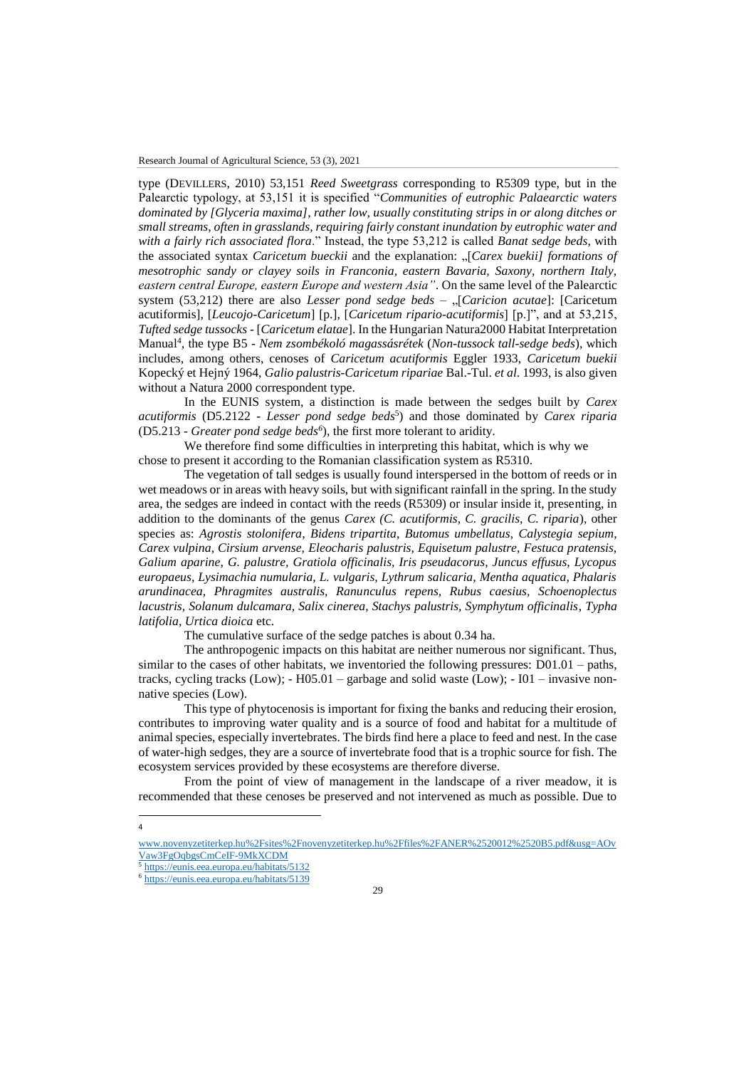type (DEVILLERS, 2010) 53,151 *Reed Sweetgrass* corresponding to R5309 type, but in the Palearctic typology, at 53,151 it is specified "*Communities of eutrophic Palaearctic waters dominated by [Glyceria maxima], rather low, usually constituting strips in or along ditches or small streams, often in grasslands, requiring fairly constant inundation by eutrophic water and with a fairly rich associated flora*." Instead, the type 53,212 is called *Banat sedge beds*, with the associated syntax *Caricetum bueckii* and the explanation: "[*Carex buekii] formations of mesotrophic sandy or clayey soils in Franconia, eastern Bavaria, Saxony, northern Italy, eastern central Europe, eastern Europe and western Asia"*. On the same level of the Palearctic system (53,212) there are also *Lesser pond sedge beds* – "[*Caricion acutae*]: [Caricetum] acutiformis], [*Leucojo-Caricetum*] [p.], [*Caricetum ripario-acutiformis*] [p.]", and at 53,215, *Tufted sedge tussocks* - [*Caricetum elatae*]. In the Hungarian Natura2000 Habitat Interpretation Manual<sup>4</sup> , the type B5 - *Nem zsombékoló magassásrétek* (*Non-tussock tall-sedge beds*), which includes, among others, cenoses of *Caricetum acutiformis* Eggler 1933, *Caricetum buekii* Kopecký et Hejný 1964, *Galio palustris-Caricetum ripariae* Bal.-Tul. *et al*. 1993, is also given without a Natura 2000 correspondent type.

In the EUNIS system, a distinction is made between the sedges built by *Carex acutiformis* (D5.2122 - *Lesser pond sedge beds*<sup>5</sup> ) and those dominated by *Carex riparia* (D5.213 - *Greater pond sedge beds<sup>6</sup>* ), the first more tolerant to aridity.

We therefore find some difficulties in interpreting this habitat, which is why we chose to present it according to the Romanian classification system as R5310.

The vegetation of tall sedges is usually found interspersed in the bottom of reeds or in wet meadows or in areas with heavy soils, but with significant rainfall in the spring. In the study area, the sedges are indeed in contact with the reeds (R5309) or insular inside it, presenting, in addition to the dominants of the genus *Carex (C. acutiformis, C. gracilis, C. riparia*), other species as: *Agrostis stolonifera*, *Bidens tripartita*, *Butomus umbellatus*, *Calystegia sepium, Carex vulpina, Cirsium arvense, Eleocharis palustris, Equisetum palustre, Festuca pratensis, Galium aparine, G. palustre, Gratiola officinalis, Iris pseudacorus, Juncus effusus, Lycopus europaeus, Lysimachia numularia, L. vulgaris, Lythrum salicaria, Mentha aquatica, Phalaris arundinacea, Phragmites australis, Ranunculus repens, Rubus caesius, Schoenoplectus lacustris, Solanum dulcamara, Salix cinerea, Stachys palustris, Symphytum officinalis*, *Typha latifolia, Urtica dioica* etc.

The cumulative surface of the sedge patches is about 0.34 ha.

The anthropogenic impacts on this habitat are neither numerous nor significant. Thus, similar to the cases of other habitats, we inventoried the following pressures: D01.01 – paths, tracks, cycling tracks (Low);  $- H05.01 -$  garbage and solid waste (Low);  $- 101 -$  invasive nonnative species (Low).

This type of phytocenosis is important for fixing the banks and reducing their erosion, contributes to improving water quality and is a source of food and habitat for a multitude of animal species, especially invertebrates. The birds find here a place to feed and nest. In the case of water-high sedges, they are a source of invertebrate food that is a trophic source for fish. The ecosystem services provided by these ecosystems are therefore diverse.

From the point of view of management in the landscape of a river meadow, it is recommended that these cenoses be preserved and not intervened as much as possible. Due to

 $\overline{\phantom{a}}$ 4

www.novenyzetiterkep.hu%2Fsites%2Fnovenyzetiterkep.hu%2Ffiles%2FANER%2520012%2520B5.pdf&usg=AOv Vaw3FgOqbgsCmCeIF-9MkXCDM

<sup>5</sup> <https://eunis.eea.europa.eu/habitats/5132>

<sup>6</sup> <https://eunis.eea.europa.eu/habitats/5139>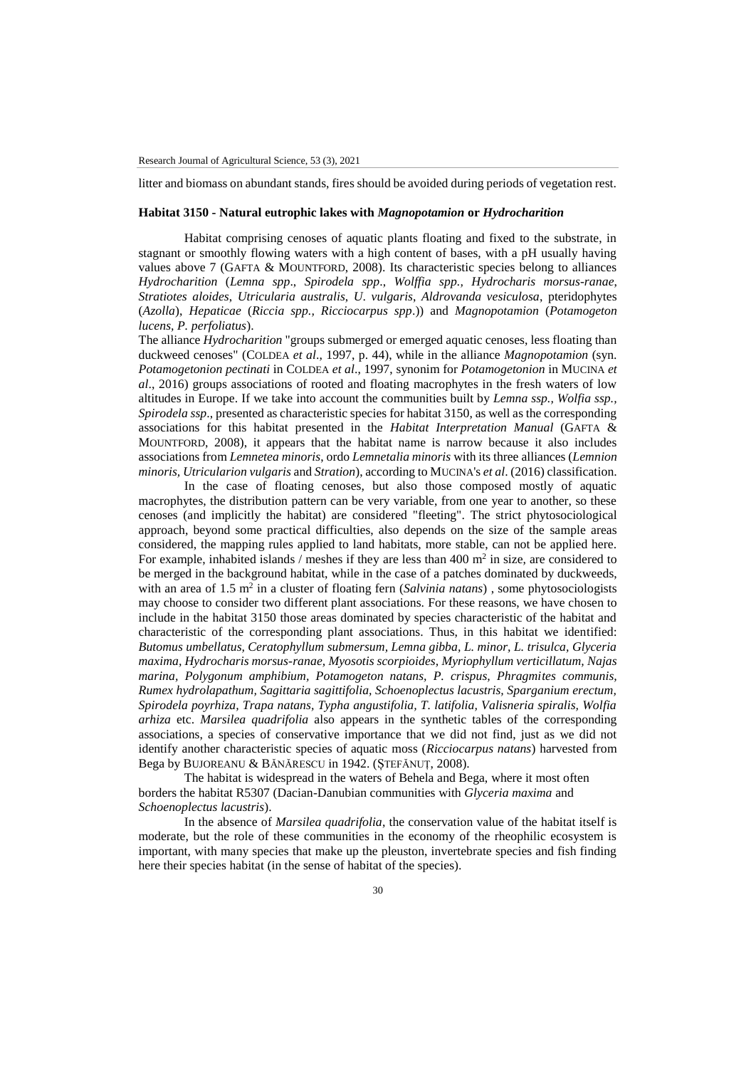litter and biomass on abundant stands, fires should be avoided during periods of vegetation rest.

### **Habitat 3150 - Natural eutrophic lakes with** *Magnopotamion* **or** *Hydrocharition*

Habitat comprising cenoses of aquatic plants floating and fixed to the substrate, in stagnant or smoothly flowing waters with a high content of bases, with a pH usually having values above 7 (GAFTA & MOUNTFORD, 2008). Its characteristic species belong to alliances *Hydrocharition* (*Lemna spp*., *Spirodela spp*., *Wolffia spp., Hydrocharis morsus*-*ranae*, *Stratiotes aloides*, *Utricularia australis*, *U*. *vulgaris*, *Aldrovanda vesiculosa*, pteridophytes (*Azolla*), *Hepaticae* (*Riccia spp., Ricciocarpus spp*.)) and *Magnopotamion* (*Potamogeton lucens, P. perfoliatus*).

The alliance *Hydrocharition* "groups submerged or emerged aquatic cenoses, less floating than duckweed cenoses" (COLDEA *et al*., 1997, p. 44), while in the alliance *Magnopotamion* (syn. *Potamogetonion pectinati* in COLDEA *et al*., 1997, synonim for *Potamogetonion* in MUCINA *et al*., 2016) groups associations of rooted and floating macrophytes in the fresh waters of low altitudes in Europe. If we take into account the communities built by *Lemna ssp., Wolfia ssp., Spirodela ssp*., presented as characteristic species for habitat 3150, as well as the corresponding associations for this habitat presented in the *Habitat Interpretation Manual* (GAFTA & MOUNTFORD, 2008), it appears that the habitat name is narrow because it also includes associations from *Lemnetea minoris*, ordo *Lemnetalia minoris* with its three alliances (*Lemnion minoris, Utricularion vulgaris* and *Stration*), according to MUCINA's *et al*. (2016) classification.

In the case of floating cenoses, but also those composed mostly of aquatic macrophytes, the distribution pattern can be very variable, from one year to another, so these cenoses (and implicitly the habitat) are considered "fleeting". The strict phytosociological approach, beyond some practical difficulties, also depends on the size of the sample areas considered, the mapping rules applied to land habitats, more stable, can not be applied here. For example, inhabited islands / meshes if they are less than  $400 \text{ m}^2$  in size, are considered to be merged in the background habitat, while in the case of a patches dominated by duckweeds, with an area of 1.5 m<sup>2</sup> in a cluster of floating fern (*Salvinia natans*), some phytosociologists may choose to consider two different plant associations. For these reasons, we have chosen to include in the habitat 3150 those areas dominated by species characteristic of the habitat and characteristic of the corresponding plant associations. Thus, in this habitat we identified: *Butomus umbellatus, Ceratophyllum submersum, Lemna gibba, L. minor, L. trisulca, Glyceria maxima, Hydrocharis morsus-ranae, Myosotis scorpioides, Myriophyllum verticillatum, Najas marina, Polygonum amphibium, Potamogeton natans, P. crispus, Phragmites communis, Rumex hydrolapathum, Sagittaria sagittifolia, Schoenoplectus lacustris, Sparganium erectum, Spirodela poyrhiza, Trapa natans, Typha angustifolia, T. latifolia, Valisneria spiralis, Wolfia arhiza* etc. *Marsilea quadrifolia* also appears in the synthetic tables of the corresponding associations, a species of conservative importance that we did not find, just as we did not identify another characteristic species of aquatic moss (*Ricciocarpus natans*) harvested from Bega by BUJOREANU & BĂNĂRESCU in 1942. (ȘTEFĂNUȚ, 2008).

The habitat is widespread in the waters of Behela and Bega, where it most often borders the habitat R5307 (Dacian-Danubian communities with *Glyceria maxima* and *Schoenoplectus lacustris*).

In the absence of *Marsilea quadrifolia*, the conservation value of the habitat itself is moderate, but the role of these communities in the economy of the rheophilic ecosystem is important, with many species that make up the pleuston, invertebrate species and fish finding here their species habitat (in the sense of habitat of the species).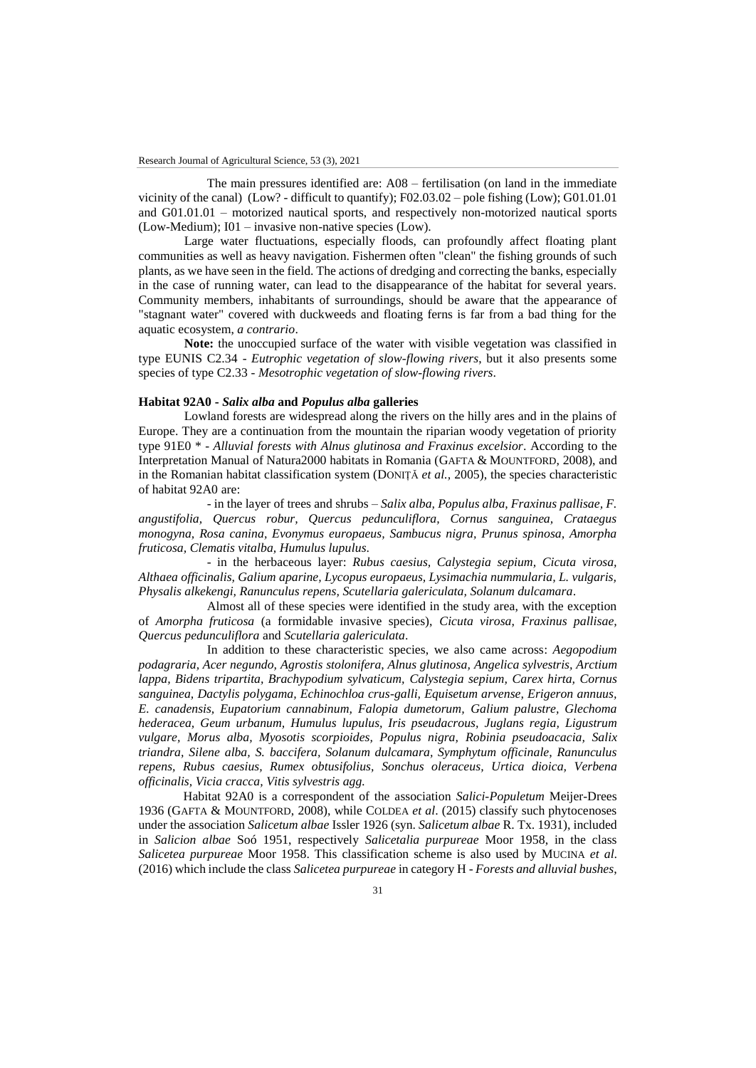The main pressures identified are: A08 – fertilisation (on land in the immediate vicinity of the canal) (Low? - difficult to quantify); F02.03.02 – pole fishing (Low); G01.01.01 and G01.01.01 – motorized nautical sports, and respectively non-motorized nautical sports (Low-Medium); I01 – invasive non-native species (Low).

Large water fluctuations, especially floods, can profoundly affect floating plant communities as well as heavy navigation. Fishermen often "clean" the fishing grounds of such plants, as we have seen in the field. The actions of dredging and correcting the banks, especially in the case of running water, can lead to the disappearance of the habitat for several years. Community members, inhabitants of surroundings, should be aware that the appearance of "stagnant water" covered with duckweeds and floating ferns is far from a bad thing for the aquatic ecosystem, *a contrario*.

**Note:** the unoccupied surface of the water with visible vegetation was classified in type EUNIS C2.34 - *Eutrophic vegetation of slow-flowing rivers*, but it also presents some species of type C2.33 - *Mesotrophic vegetation of slow-flowing rivers*.

### **Habitat 92A0 -** *Salix alba* **and** *Populus alba* **galleries**

Lowland forests are widespread along the rivers on the hilly ares and in the plains of Europe. They are a continuation from the mountain the riparian woody vegetation of priority type 91E0 \* - *Alluvial forests with Alnus glutinosa and Fraxinus excelsior*. According to the Interpretation Manual of Natura2000 habitats in Romania (GAFTA & MOUNTFORD, 2008), and in the Romanian habitat classification system (DONIȚĂ *et al.,* 2005), the species characteristic of habitat 92A0 are:

- in the layer of trees and shrubs – *Salix alba, Populus alba, Fraxinus pallisae, F. angustifolia, Quercus robur, Quercus pedunculiflora, Cornus sanguinea, Crataegus monogyna, Rosa canina, Evonymus europaeus, Sambucus nigra, Prunus spinosa, Amorpha fruticosa, Clematis vitalba, Humulus lupulus*.

- in the herbaceous layer: *Rubus caesius, Calystegia sepium, Cicuta virosa, Althaea officinalis, Galium aparine, Lycopus europaeus, Lysimachia nummularia, L. vulgaris, Physalis alkekengi, Ranunculus repens, Scutellaria galericulata, Solanum dulcamara*.

Almost all of these species were identified in the study area, with the exception of *Amorpha fruticosa* (a formidable invasive species), *Cicuta virosa*, *Fraxinus pallisae, Quercus pedunculiflora* and *Scutellaria galericulata*.

In addition to these characteristic species, we also came across: *Aegopodium podagraria, Acer negundo, Agrostis stolonifera, Alnus glutinosa, Angelica sylvestris, Arctium lappa, Bidens tripartita, Brachypodium sylvaticum, Calystegia sepium, Carex hirta, Cornus sanguinea, Dactylis polygama, Echinochloa crus-galli, Equisetum arvense, Erigeron annuus, E. canadensis, Eupatorium cannabinum, Falopia dumetorum, Galium palustre, Glechoma hederacea, Geum urbanum, Humulus lupulus, Iris pseudacrous, Juglans regia, Ligustrum vulgare, Morus alba, Myosotis scorpioides, Populus nigra, Robinia pseudoacacia, Salix triandra, Silene alba, S. baccifera, Solanum dulcamara, Symphytum officinale, Ranunculus repens, Rubus caesius, Rumex obtusifolius, Sonchus oleraceus, Urtica dioica, Verbena officinalis, Vicia cracca, Vitis sylvestris agg.* 

Habitat 92A0 is a correspondent of the association *Salici-Populetum* Meijer-Drees 1936 (GAFTA & MOUNTFORD, 2008), while COLDEA *et al*. (2015) classify such phytocenoses under the association *Salicetum albae* Issler 1926 (syn. *Salicetum albae* R. Tx. 1931), included in *Salicion albae* Soó 1951, respectively *Salicetalia purpureae* Moor 1958, in the class *Salicetea purpureae* Moor 1958. This classification scheme is also used by MUCINA *et al*. (2016) which include the class *Salicetea purpureae* in category H - *Forests and alluvial bushes*,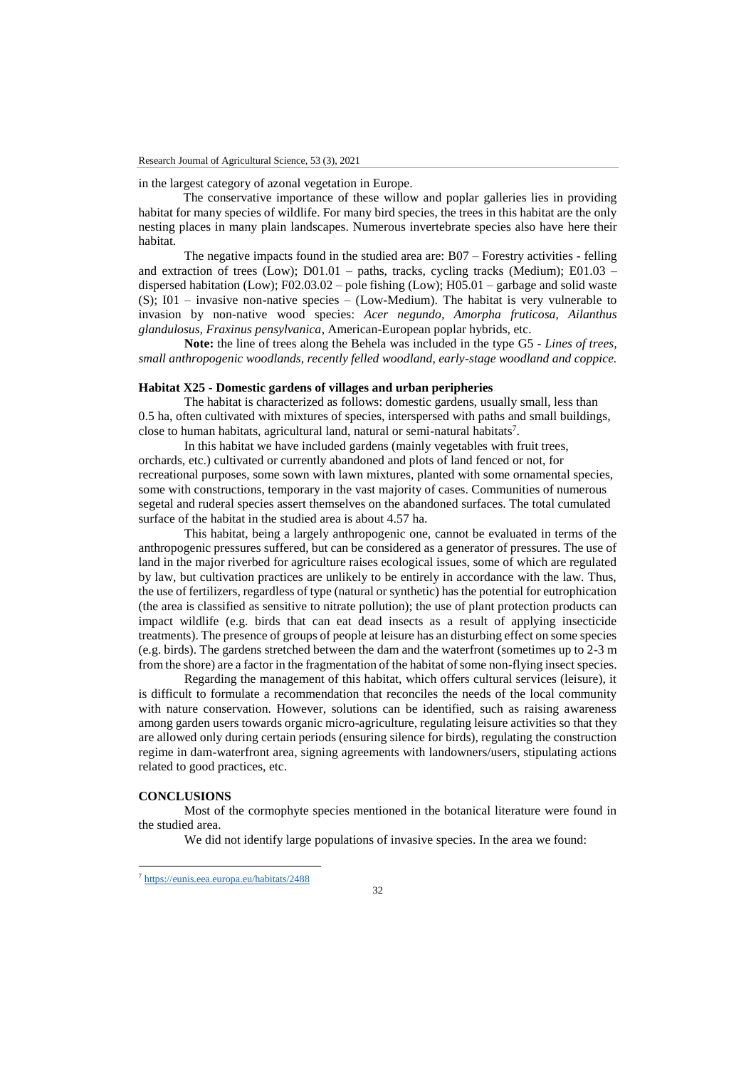in the largest category of azonal vegetation in Europe.

The conservative importance of these willow and poplar galleries lies in providing habitat for many species of wildlife. For many bird species, the trees in this habitat are the only nesting places in many plain landscapes. Numerous invertebrate species also have here their habitat.

The negative impacts found in the studied area are: B07 – Forestry activities - felling and extraction of trees (Low);  $D01.01 -$  paths, tracks, cycling tracks (Medium);  $E01.03$ dispersed habitation (Low); F02.03.02 – pole fishing (Low); H05.01 – garbage and solid waste (S);  $I01$  – invasive non-native species – (Low-Medium). The habitat is very vulnerable to invasion by non-native wood species: *Acer negundo, Amorpha fruticosa, Ailanthus glandulosus, Fraxinus pensylvanica*, American-European poplar hybrids, etc.

**Note:** the line of trees along the Behela was included in the type G5 - *Lines of trees, small anthropogenic woodlands, recently felled woodland, early-stage woodland and coppice.*

### **Habitat X25 - Domestic gardens of villages and urban peripheries**

The habitat is characterized as follows: domestic gardens, usually small, less than 0.5 ha, often cultivated with mixtures of species, interspersed with paths and small buildings, close to human habitats, agricultural land, natural or semi-natural habitats<sup>7</sup>.

In this habitat we have included gardens (mainly vegetables with fruit trees, orchards, etc.) cultivated or currently abandoned and plots of land fenced or not, for recreational purposes, some sown with lawn mixtures, planted with some ornamental species, some with constructions, temporary in the vast majority of cases. Communities of numerous segetal and ruderal species assert themselves on the abandoned surfaces. The total cumulated surface of the habitat in the studied area is about 4.57 ha.

This habitat, being a largely anthropogenic one, cannot be evaluated in terms of the anthropogenic pressures suffered, but can be considered as a generator of pressures. The use of land in the major riverbed for agriculture raises ecological issues, some of which are regulated by law, but cultivation practices are unlikely to be entirely in accordance with the law. Thus, the use of fertilizers, regardless of type (natural or synthetic) has the potential for eutrophication (the area is classified as sensitive to nitrate pollution); the use of plant protection products can impact wildlife (e.g. birds that can eat dead insects as a result of applying insecticide treatments). The presence of groups of people at leisure has an disturbing effect on some species (e.g. birds). The gardens stretched between the dam and the waterfront (sometimes up to 2-3 m from the shore) are a factor in the fragmentation of the habitat of some non-flying insect species.

Regarding the management of this habitat, which offers cultural services (leisure), it is difficult to formulate a recommendation that reconciles the needs of the local community with nature conservation. However, solutions can be identified, such as raising awareness among garden users towards organic micro-agriculture, regulating leisure activities so that they are allowed only during certain periods (ensuring silence for birds), regulating the construction regime in dam-waterfront area, signing agreements with landowners/users, stipulating actions related to good practices, etc.

### **CONCLUSIONS**

 $\overline{\phantom{a}}$ 

Most of the cormophyte species mentioned in the botanical literature were found in the studied area.

We did not identify large populations of invasive species. In the area we found:

<sup>7</sup> <https://eunis.eea.europa.eu/habitats/2488>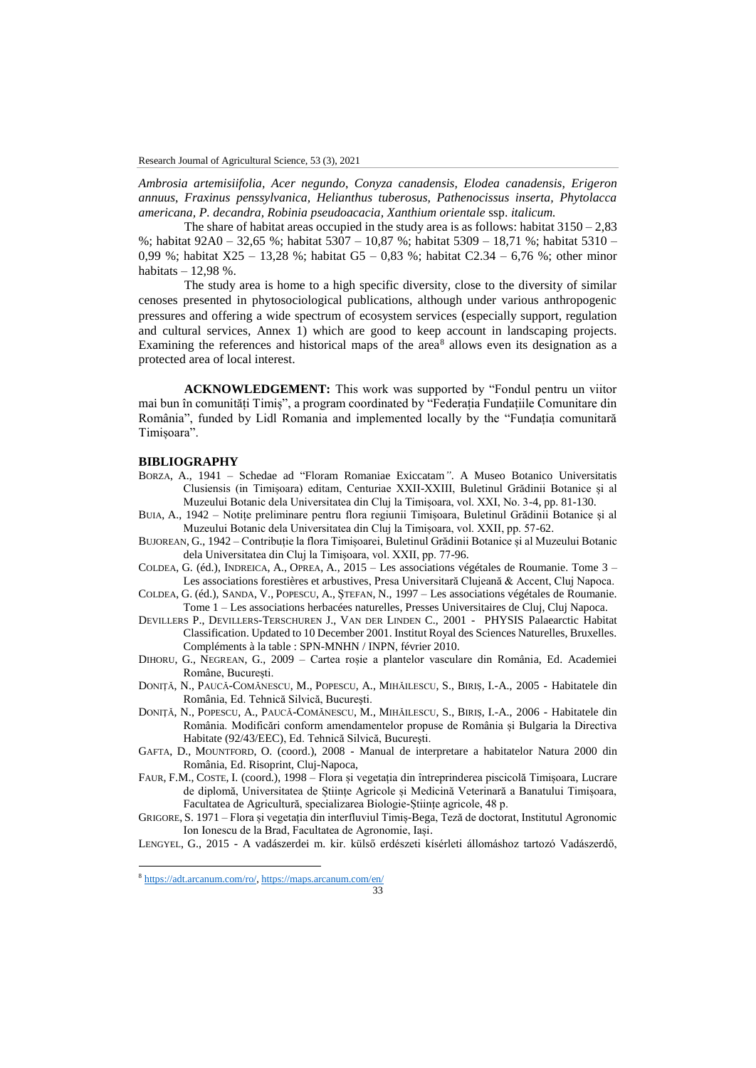*Ambrosia artemisiifolia, Acer negundo*, *Conyza canadensis, Elodea canadensis, Erigeron annuus*, *Fraxinus penssylvanica, Helianthus tuberosus, Pathenocissus inserta, Phytolacca americana, P. decandra, Robinia pseudoacacia, Xanthium orientale* ssp. *italicum.*

The share of habitat areas occupied in the study area is as follows: habitat  $3150 - 2,83$ %; habitat 92A0 – 32,65 %; habitat 5307 – 10,87 %; habitat 5309 – 18,71 %; habitat 5310 – 0,99 %; habitat X25 – 13,28 %; habitat G5 – 0,83 %; habitat C2.34 – 6,76 %; other minor habitats  $-12,98$  %.

The study area is home to a high specific diversity, close to the diversity of similar cenoses presented in phytosociological publications, although under various anthropogenic pressures and offering a wide spectrum of ecosystem services (especially support, regulation and cultural services, Annex 1) which are good to keep account in landscaping projects. Examining the references and historical maps of the area $8$  allows even its designation as a protected area of local interest.

**ACKNOWLEDGEMENT:** This work was supported by "Fondul pentru un viitor mai bun în comunități Timiș", a program coordinated by "Federația Fundațiile Comunitare din România", funded by Lidl Romania and implemented locally by the "Fundația comunitară Timișoara".

#### **BIBLIOGRAPHY**

- BORZA, A., 1941 Schedae ad "Floram Romaniae Exiccatam*"*. A Museo Botanico Universitatis Clusiensis (in Timișoara) editam, Centuriae XXII-XXIII, Buletinul Grădinii Botanice și al Muzeului Botanic dela Universitatea din Cluj la Timișoara, vol. XXI, No. 3-4, pp. 81-130.
- BUIA, A., 1942 Notițe preliminare pentru flora regiunii Timișoara, Buletinul Grădinii Botanice și al Muzeului Botanic dela Universitatea din Cluj la Timișoara, vol. XXII, pp. 57-62.
- BUJOREAN, G., 1942 Contribuție la flora Timișoarei, Buletinul Grădinii Botanice și al Muzeului Botanic dela Universitatea din Cluj la Timișoara, vol. XXII, pp. 77-96.
- COLDEA, G. (éd.), INDREICA, A., OPREA, A., 2015 Les associations végétales de Roumanie. Tome 3 Les associations forestières et arbustives, Presa Universitară Clujeană & Accent, Cluj Napoca.
- COLDEA, G. (éd.), SANDA, V., POPESCU, A., ȘTEFAN, N., 1997 Les associations végétales de Roumanie. Tome 1 – Les associations herbacées naturelles, Presses Universitaires de Cluj, Cluj Napoca.
- DEVILLERS P., DEVILLERS-TERSCHUREN J., VAN DER LINDEN C., 2001 PHYSIS Palaearctic Habitat Classification. Updated to 10 December 2001. Institut Royal des Sciences Naturelles, Bruxelles. Compléments à la table : SPN-MNHN / INPN, février 2010.
- DIHORU, G., NEGREAN, G., 2009 Cartea roșie a plantelor vasculare din România, Ed. Academiei Române, București.
- DONIŢĂ, N., PAUCĂ-COMĂNESCU, M., POPESCU, A., MIHĂILESCU, S., BIRIȘ, I.-A., 2005 Habitatele din România, Ed. Tehnică Silvică, Bucureşti.
- DONIŢĂ, N., POPESCU, A., PAUCĂ-COMĂNESCU, M., MIHĂILESCU, S., BIRIȘ, I.-A., 2006 Habitatele din România. Modificări conform amendamentelor propuse de România și Bulgaria la Directiva Habitate (92/43/EEC), Ed. Tehnică Silvică, Bucureşti.
- GAFTA, D., MOUNTFORD, O. (coord.), 2008 Manual de interpretare a habitatelor Natura 2000 din România, Ed. Risoprint, Cluj-Napoca,
- FAUR, F.M., COSTE, I. (coord.), 1998 Flora și vegetația din întreprinderea piscicolă Timișoara, Lucrare de diplomă, Universitatea de Științe Agricole și Medicină Veterinară a Banatului Timișoara, Facultatea de Agricultură, specializarea Biologie-Științe agricole, 48 p.
- GRIGORE, S. 1971 Flora și vegetația din interfluviul Timiș-Bega, Teză de doctorat, Institutul Agronomic Ion Ionescu de la Brad, Facultatea de Agronomie, Iași.

LENGYEL, G., 2015 - A vadászerdei m. kir. külső erdészeti kísérleti állomáshoz tartozó Vadászerdő,

 $\overline{\phantom{a}}$ 

<sup>8</sup> [https://adt.arcanum.com/ro/,](https://adt.arcanum.com/ro/)<https://maps.arcanum.com/en/>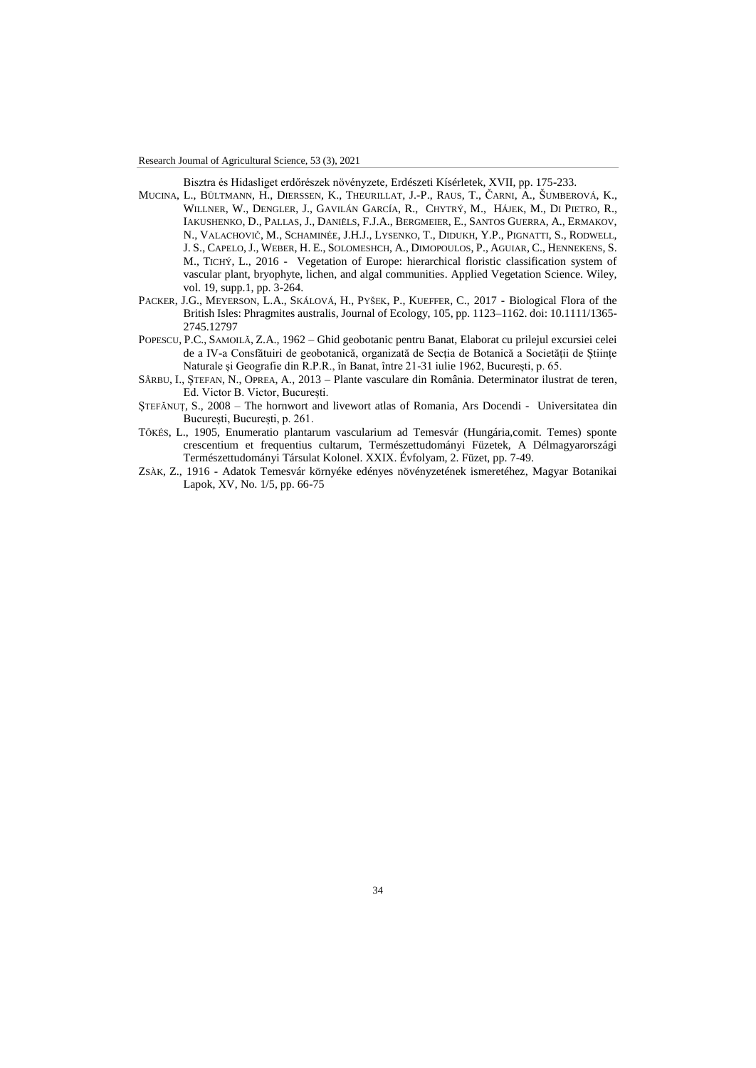Research Journal of Agricultural Science, 53 (3), 2021

Bisztra és Hidasliget erdőrészek növényzete, Erdészeti Kísérletek, XVII, pp. 175-233.

- MUCINA, L., BÜLTMANN, H., DIERSSEN, K., THEURILLAT, J.-P., RAUS, T., ČARNI, A., ŠUMBEROVÁ, K., WILLNER, W., DENGLER, J., GAVILÁN GARCÍA, R., CHYTRÝ, M., HÁJEK, M., DI PIETRO, R., IAKUSHENKO, D., PALLAS, J., DANIËLS, F.J.A., BERGMEIER, E., SANTOS GUERRA, A., ERMAKOV, N., VALACHOVIČ, M., SCHAMINÉE, J.H.J., LYSENKO, T., DIDUKH, Y.P., PIGNATTI, S., RODWELL, J. S., CAPELO, J., WEBER, H. E., SOLOMESHCH, A., DIMOPOULOS, P., AGUIAR, C., HENNEKENS, S. M., TICHÝ, L., 2016 - Vegetation of Europe: hierarchical floristic classification system of vascular plant, bryophyte, lichen, and algal communities. Applied Vegetation Science. Wiley, vol. 19, supp.1, pp. 3-264.
- PACKER, J.G., MEYERSON, L.A., SKÁLOVÁ, H., PYŠEK, P., KUEFFER, C., 2017 Biological Flora of the British Isles: Phragmites australis, Journal of Ecology, 105, pp. 1123–1162. doi: 10.1111/1365- 2745.12797
- POPESCU, P.C., SAMOILĂ, Z.A., 1962 Ghid geobotanic pentru Banat, Elaborat cu prilejul excursiei celei de a IV-a Consfătuiri de geobotanică, organizată de Secția de Botanică a Societății de Științe Naturale și Geografie din R.P.R., în Banat, între 21-31 iulie 1962, București, p. 65.
- SÂRBU, I., ȘTEFAN, N., OPREA, A., 2013 Plante vasculare din România. Determinator ilustrat de teren, Ed. Victor B. Victor, București.
- ȘTEFĂNUȚ, S., 2008 The hornwort and livewort atlas of Romania, Ars Docendi Universitatea din București, București, p. 261.
- TŐKÉS, L., 1905, Enumeratio plantarum vascularium ad Temesvár (Hungária,comit. Temes) sponte crescentium et frequentius cultarum, Természettudományi Füzetek, A Délmagyarországi Természettudományi Társulat Kolonel. XXIX. Évfolyam, 2. Füzet, pp. 7-49.
- ZSÀK, Z., 1916 Adatok Temesvár környéke edényes növényzetének ismeretéhez, Magyar Botanikai Lapok, XV, No. 1/5, pp. 66-75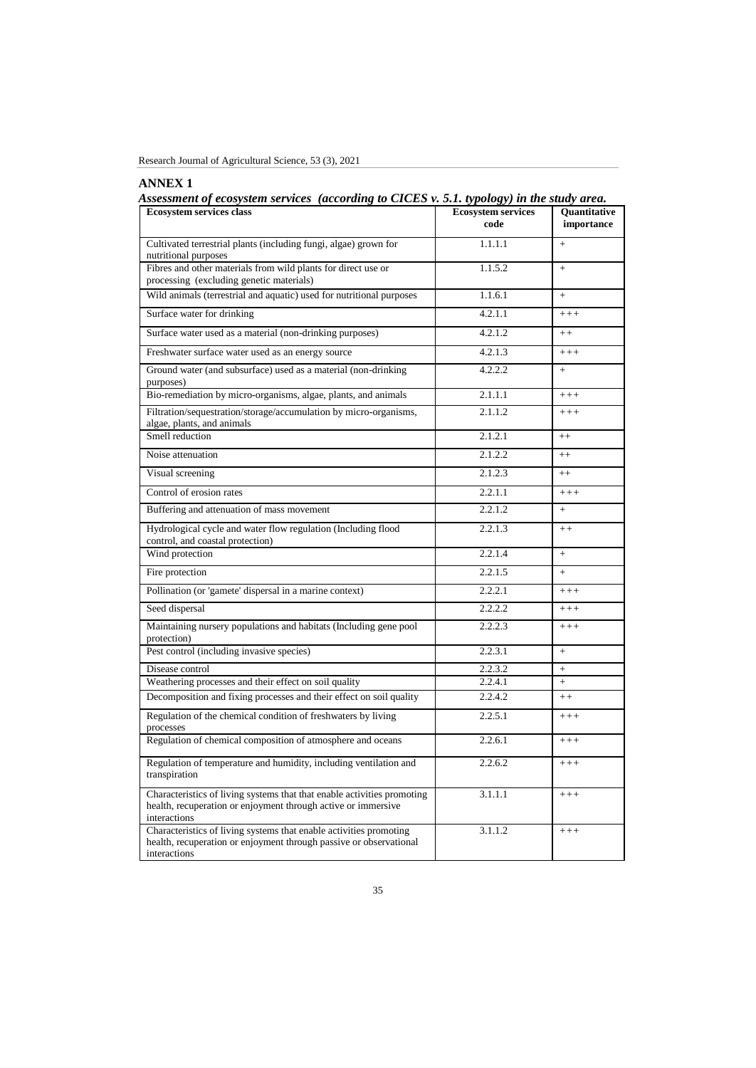| Research Journal of Agricultural Science, 53 (3), 2021 |  |  |  |  |
|--------------------------------------------------------|--|--|--|--|
|--------------------------------------------------------|--|--|--|--|

# **ANNEX 1**

*Assessment of ecosystem services (according to CICES v. 5.1. typology) in the study area.*

| <b>Ecosystem services class</b>                                                                                                                          | <b>Ecosystem services</b><br>code | Quantitative<br>importance |
|----------------------------------------------------------------------------------------------------------------------------------------------------------|-----------------------------------|----------------------------|
| Cultivated terrestrial plants (including fungi, algae) grown for<br>nutritional purposes                                                                 | 1.1.1.1                           | $+$                        |
| Fibres and other materials from wild plants for direct use or<br>processing (excluding genetic materials)                                                | 1.1.5.2                           | $+$                        |
| Wild animals (terrestrial and aquatic) used for nutritional purposes                                                                                     | 1.1.6.1                           | $+$                        |
| Surface water for drinking                                                                                                                               | 4.2.1.1                           | $++++$                     |
| Surface water used as a material (non-drinking purposes)                                                                                                 | 4.2.1.2                           | $++$                       |
| Freshwater surface water used as an energy source                                                                                                        | 4.2.1.3                           | $+++$                      |
| Ground water (and subsurface) used as a material (non-drinking<br>purposes)                                                                              | 4.2.2.2                           | $+$                        |
| Bio-remediation by micro-organisms, algae, plants, and animals                                                                                           | 2.1.1.1                           | $+++$                      |
| Filtration/sequestration/storage/accumulation by micro-organisms,<br>algae, plants, and animals                                                          | 2.1.1.2                           | $+++$                      |
| Smell reduction                                                                                                                                          | 2.1.2.1                           | $++$                       |
| Noise attenuation                                                                                                                                        | 2.1.2.2                           | $++$                       |
| Visual screening                                                                                                                                         | 2.1.2.3                           | $++$                       |
| Control of erosion rates                                                                                                                                 | 2.2.1.1                           | $+++$                      |
| Buffering and attenuation of mass movement                                                                                                               | 2.2.1.2                           | $\ddot{}$                  |
| Hydrological cycle and water flow regulation (Including flood<br>control, and coastal protection)                                                        | 2.2.1.3                           | $++$                       |
| Wind protection                                                                                                                                          | 2.2.1.4                           | $\ddot{}$                  |
| Fire protection                                                                                                                                          | 2.2.1.5                           | $+$                        |
| Pollination (or 'gamete' dispersal in a marine context)                                                                                                  | 2.2.2.1                           | $+++$                      |
| Seed dispersal                                                                                                                                           | 2.2.2.2                           | $+++$                      |
| Maintaining nursery populations and habitats (Including gene pool<br>protection)                                                                         | 2.2.2.3                           | $+++$                      |
| Pest control (including invasive species)                                                                                                                | 2.2.3.1                           | $+$                        |
| Disease control                                                                                                                                          | 2.2.3.2                           | $+$                        |
| Weathering processes and their effect on soil quality                                                                                                    | 2.2.4.1                           | $+$                        |
| Decomposition and fixing processes and their effect on soil quality                                                                                      | 2.2.4.2                           | $++$                       |
| Regulation of the chemical condition of freshwaters by living<br>processes                                                                               | 2.2.5.1                           | $++++$                     |
| Regulation of chemical composition of atmosphere and oceans                                                                                              | 2.2.6.1                           | $+++$                      |
| Regulation of temperature and humidity, including ventilation and<br>transpiration                                                                       | 2.2.6.2                           | $+++$                      |
| Characteristics of living systems that that enable activities promoting<br>health, recuperation or enjoyment through active or immersive<br>interactions | 3.1.1.1                           | $++++$                     |
| Characteristics of living systems that enable activities promoting<br>health, recuperation or enjoyment through passive or observational<br>interactions | 3.1.1.2                           | $+++$                      |